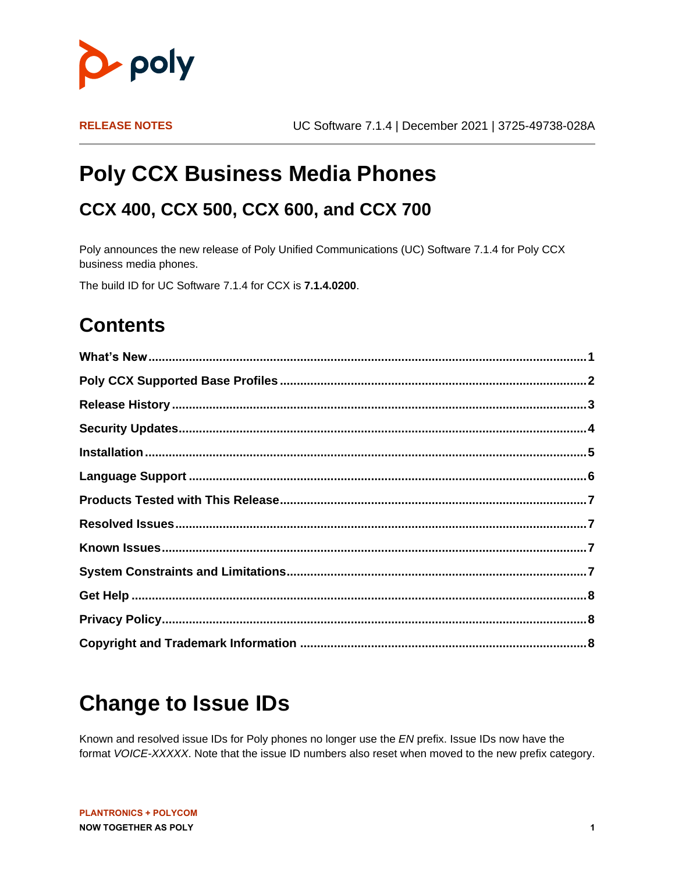

# **Poly CCX Business Media Phones**

#### **CCX 400, CCX 500, CCX 600, and CCX 700**

Poly announces the new release of Poly Unified Communications (UC) Software 7.1.4 for Poly CCX business media phones.

The build ID for UC Software 7.1.4 for CCX is **7.1.4.0200**.

### **Contents**

# <span id="page-0-0"></span>**Change to Issue IDs**

Known and resolved issue IDs for Poly phones no longer use the *EN* prefix. Issue IDs now have the format *VOICE-XXXXX*. Note that the issue ID numbers also reset when moved to the new prefix category.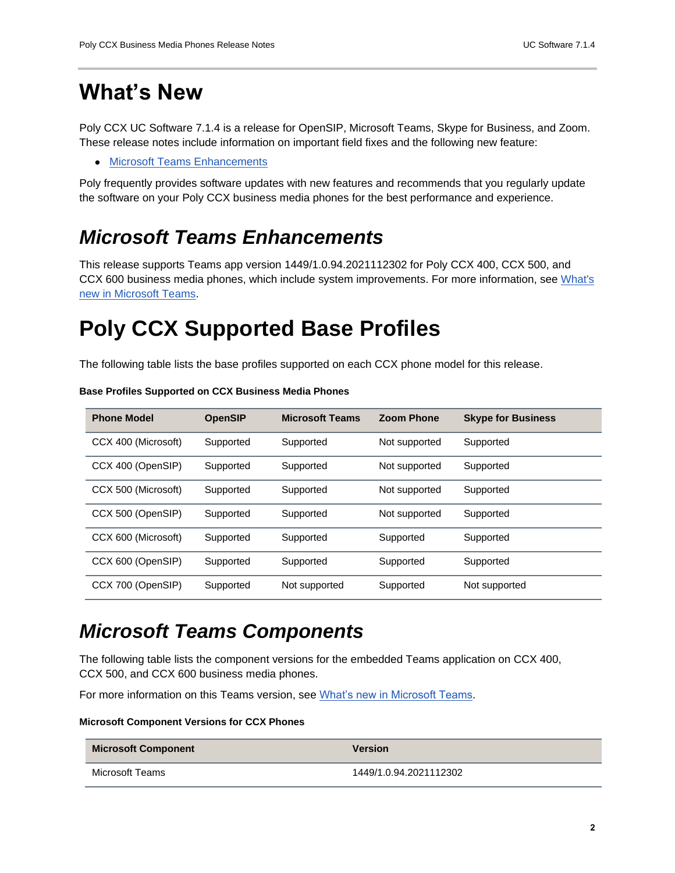### **What's New**

Poly CCX UC Software 7.1.4 is a release for OpenSIP, Microsoft Teams, Skype for Business, and Zoom. These release notes include information on important field fixes and the following new feature:

● [Microsoft Teams Enhancements](#page-1-1)

Poly frequently provides software updates with new features and recommends that you regularly update the software on your Poly CCX business media phones for the best performance and experience.

#### <span id="page-1-1"></span>*Microsoft Teams Enhancements*

This release supports Teams app version 1449/1.0.94.2021112302 for Poly CCX 400, CCX 500, and CCX 600 business media phones, which include system improvements. For more information, see [What's](https://support.microsoft.com/en-us/office/what-s-new-in-microsoft-teams-devices-eabf4d81-acdd-4b23-afa1-9ee47bb7c5e2#ID0EBD=Desk_phones)  [new in Microsoft Teams.](https://support.microsoft.com/en-us/office/what-s-new-in-microsoft-teams-devices-eabf4d81-acdd-4b23-afa1-9ee47bb7c5e2#ID0EBD=Desk_phones)

## <span id="page-1-0"></span>**Poly CCX Supported Base Profiles**

The following table lists the base profiles supported on each CCX phone model for this release.

| <b>Phone Model</b>  | <b>OpenSIP</b> | <b>Microsoft Teams</b> | <b>Zoom Phone</b> | <b>Skype for Business</b> |
|---------------------|----------------|------------------------|-------------------|---------------------------|
| CCX 400 (Microsoft) | Supported      | Supported              | Not supported     | Supported                 |
| CCX 400 (OpenSIP)   | Supported      | Supported              | Not supported     | Supported                 |
| CCX 500 (Microsoft) | Supported      | Supported              | Not supported     | Supported                 |
| CCX 500 (OpenSIP)   | Supported      | Supported              | Not supported     | Supported                 |
| CCX 600 (Microsoft) | Supported      | Supported              | Supported         | Supported                 |
| CCX 600 (OpenSIP)   | Supported      | Supported              | Supported         | Supported                 |
| CCX 700 (OpenSIP)   | Supported      | Not supported          | Supported         | Not supported             |

#### **Base Profiles Supported on CCX Business Media Phones**

#### *Microsoft Teams Components*

The following table lists the component versions for the embedded Teams application on CCX 400, CCX 500, and CCX 600 business media phones.

For more information on this Teams version, see [What's new in Microsoft Teams.](https://support.microsoft.com/en-us/office/what-s-new-in-microsoft-teams-devices-eabf4d81-acdd-4b23-afa1-9ee47bb7c5e2#ID0EBD=Desk_phones)

#### **Microsoft Component Versions for CCX Phones**

| <b>Microsoft Component</b> | <b>Version</b>         |
|----------------------------|------------------------|
| Microsoft Teams            | 1449/1.0.94.2021112302 |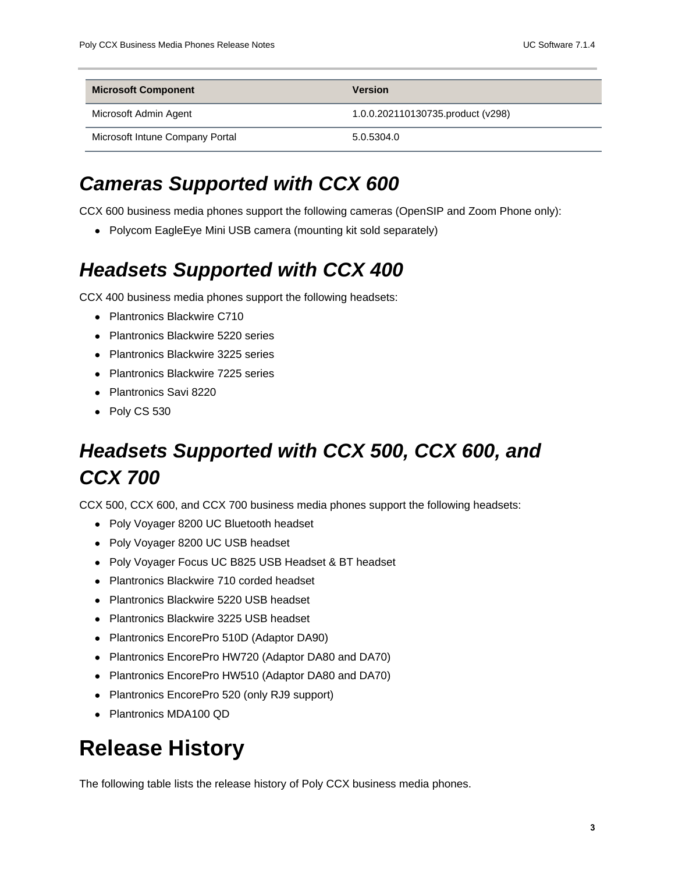| <b>Microsoft Component</b>      | <b>Version</b>                    |
|---------------------------------|-----------------------------------|
| Microsoft Admin Agent           | 1.0.0.202110130735.product (v298) |
| Microsoft Intune Company Portal | 5.0.5304.0                        |

#### *Cameras Supported with CCX 600*

CCX 600 business media phones support the following cameras (OpenSIP and Zoom Phone only):

• Polycom EagleEye Mini USB camera (mounting kit sold separately)

#### *Headsets Supported with CCX 400*

CCX 400 business media phones support the following headsets:

- Plantronics Blackwire C710
- Plantronics Blackwire 5220 series
- Plantronics Blackwire 3225 series
- Plantronics Blackwire 7225 series
- Plantronics Savi 8220
- Poly CS 530

### *Headsets Supported with CCX 500, CCX 600, and CCX 700*

CCX 500, CCX 600, and CCX 700 business media phones support the following headsets:

- Poly Voyager 8200 UC Bluetooth headset
- Poly Voyager 8200 UC USB headset
- Poly Voyager Focus UC B825 USB Headset & BT headset
- Plantronics Blackwire 710 corded headset
- Plantronics Blackwire 5220 USB headset
- Plantronics Blackwire 3225 USB headset
- Plantronics EncorePro 510D (Adaptor DA90)
- Plantronics EncorePro HW720 (Adaptor DA80 and DA70)
- Plantronics EncorePro HW510 (Adaptor DA80 and DA70)
- Plantronics EncorePro 520 (only RJ9 support)
- Plantronics MDA100 QD

### <span id="page-2-0"></span>**Release History**

The following table lists the release history of Poly CCX business media phones.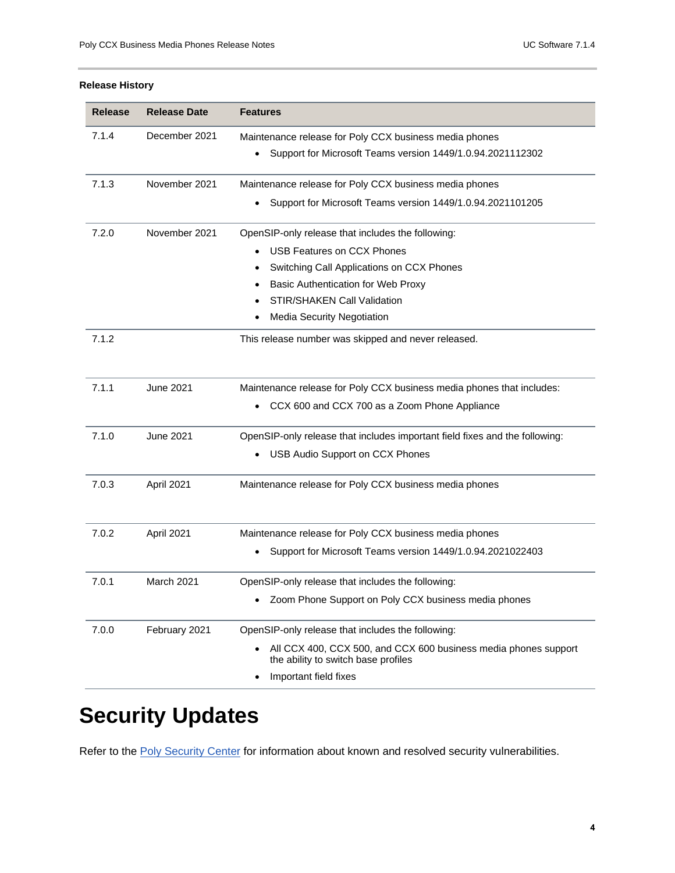#### **Release History**

| <b>Release</b> | <b>Release Date</b> | <b>Features</b>                                                                                        |
|----------------|---------------------|--------------------------------------------------------------------------------------------------------|
| 7.1.4          | December 2021       | Maintenance release for Poly CCX business media phones                                                 |
|                |                     | Support for Microsoft Teams version 1449/1.0.94.2021112302<br>٠                                        |
| 7.1.3          | November 2021       | Maintenance release for Poly CCX business media phones                                                 |
|                |                     | Support for Microsoft Teams version 1449/1.0.94.2021101205                                             |
| 7.2.0          | November 2021       | OpenSIP-only release that includes the following:                                                      |
|                |                     | <b>USB Features on CCX Phones</b>                                                                      |
|                |                     | Switching Call Applications on CCX Phones                                                              |
|                |                     | Basic Authentication for Web Proxy                                                                     |
|                |                     | STIR/SHAKEN Call Validation                                                                            |
|                |                     | Media Security Negotiation                                                                             |
| 7.1.2          |                     | This release number was skipped and never released.                                                    |
|                |                     |                                                                                                        |
| 7.1.1          | <b>June 2021</b>    | Maintenance release for Poly CCX business media phones that includes:                                  |
|                |                     | CCX 600 and CCX 700 as a Zoom Phone Appliance                                                          |
| 7.1.0          | <b>June 2021</b>    | OpenSIP-only release that includes important field fixes and the following:                            |
|                |                     | USB Audio Support on CCX Phones                                                                        |
| 7.0.3          | April 2021          | Maintenance release for Poly CCX business media phones                                                 |
|                |                     |                                                                                                        |
| 7.0.2          | April 2021          | Maintenance release for Poly CCX business media phones                                                 |
|                |                     | Support for Microsoft Teams version 1449/1.0.94.2021022403                                             |
| 7.0.1          | March 2021          | OpenSIP-only release that includes the following:                                                      |
|                |                     | Zoom Phone Support on Poly CCX business media phones                                                   |
| 7.0.0          | February 2021       | OpenSIP-only release that includes the following:                                                      |
|                |                     | All CCX 400, CCX 500, and CCX 600 business media phones support<br>the ability to switch base profiles |
|                |                     | Important field fixes                                                                                  |

# <span id="page-3-0"></span>**Security Updates**

Refer to the [Poly Security Center](http://support.polycom.com/PolycomService/support/us/support/documentation/security_center.html) for information about known and resolved security vulnerabilities.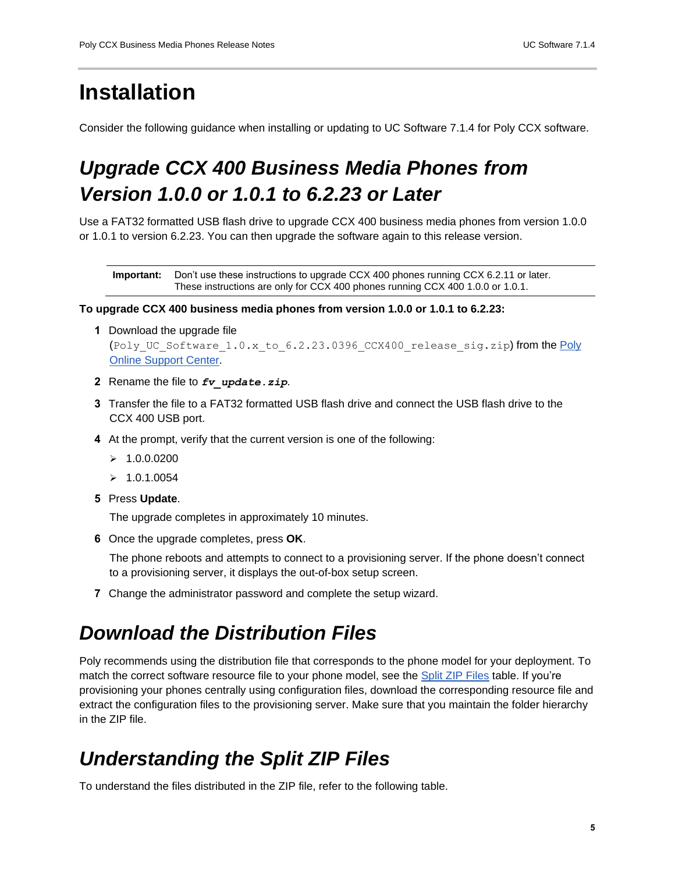## <span id="page-4-0"></span>**Installation**

Consider the following guidance when installing or updating to UC Software 7.1.4 for Poly CCX software.

## *Upgrade CCX 400 Business Media Phones from Version 1.0.0 or 1.0.1 to 6.2.23 or Later*

Use a FAT32 formatted USB flash drive to upgrade CCX 400 business media phones from version 1.0.0 or 1.0.1 to version 6.2.23. You can then upgrade the software again to this release version.

**Important:** Don't use these instructions to upgrade CCX 400 phones running CCX 6.2.11 or later. These instructions are only for CCX 400 phones running CCX 400 1.0.0 or 1.0.1.

#### **To upgrade CCX 400 business media phones from version 1.0.0 or 1.0.1 to 6.2.23:**

**1** Download the upgrade file

(Poly\_UC\_Software\_1.0.x\_to\_6.2.23.0396\_CCX400\_release\_sig.zip) from the Poly [Online Support Center.](https://support.polycom.com/content/support/north-america/usa/en/support/voice/ccx-phones/ccx400.html)

- **2** Rename the file to *fv\_update.zip*.
- **3** Transfer the file to a FAT32 formatted USB flash drive and connect the USB flash drive to the CCX 400 USB port.
- **4** At the prompt, verify that the current version is one of the following:
	- $> 1.0.0.0200$
	- $> 1.0.1.0054$
- **5** Press **Update**.

The upgrade completes in approximately 10 minutes.

**6** Once the upgrade completes, press **OK**.

The phone reboots and attempts to connect to a provisioning server. If the phone doesn't connect to a provisioning server, it displays the out-of-box setup screen.

**7** Change the administrator password and complete the setup wizard.

#### *Download the Distribution Files*

Poly recommends using the distribution file that corresponds to the phone model for your deployment. To match the correct software resource file to your phone model, see the [Split ZIP Files](#page-4-1) table. If you're provisioning your phones centrally using configuration files, download the corresponding resource file and extract the configuration files to the provisioning server. Make sure that you maintain the folder hierarchy in the ZIP file.

#### <span id="page-4-1"></span>*Understanding the Split ZIP Files*

To understand the files distributed in the ZIP file, refer to the following table.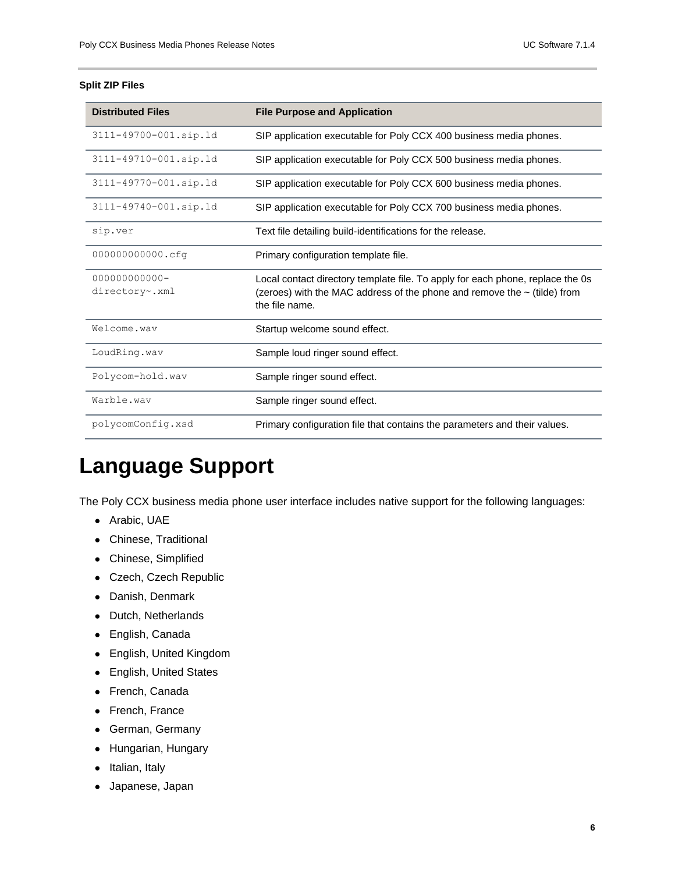#### **Split ZIP Files**

| <b>Distributed Files</b>        | <b>File Purpose and Application</b>                                                                                                                                          |
|---------------------------------|------------------------------------------------------------------------------------------------------------------------------------------------------------------------------|
| 3111-49700-001.sip.ld           | SIP application executable for Poly CCX 400 business media phones.                                                                                                           |
| 3111-49710-001.sip.ld           | SIP application executable for Poly CCX 500 business media phones.                                                                                                           |
| 3111-49770-001.sip.1d           | SIP application executable for Poly CCX 600 business media phones.                                                                                                           |
| 3111-49740-001.sip.ld           | SIP application executable for Poly CCX 700 business media phones.                                                                                                           |
| sip.ver                         | Text file detailing build-identifications for the release.                                                                                                                   |
| 000000000000.cfg                | Primary configuration template file.                                                                                                                                         |
| 000000000000-<br>directory~.xml | Local contact directory template file. To apply for each phone, replace the Os<br>(zeroes) with the MAC address of the phone and remove the ~ (tilde) from<br>the file name. |
| Welcome.wav                     | Startup welcome sound effect.                                                                                                                                                |
| LoudRing.wav                    | Sample loud ringer sound effect.                                                                                                                                             |
| Polycom-hold.wav                | Sample ringer sound effect.                                                                                                                                                  |
| Warble.wav                      | Sample ringer sound effect.                                                                                                                                                  |
| polycomConfig.xsd               | Primary configuration file that contains the parameters and their values.                                                                                                    |

# <span id="page-5-0"></span>**Language Support**

The Poly CCX business media phone user interface includes native support for the following languages:

- Arabic, UAE
- Chinese, Traditional
- Chinese, Simplified
- Czech, Czech Republic
- Danish, Denmark
- Dutch, Netherlands
- English, Canada
- English, United Kingdom
- English, United States
- French, Canada
- French, France
- German, Germany
- Hungarian, Hungary
- Italian, Italy
- Japanese, Japan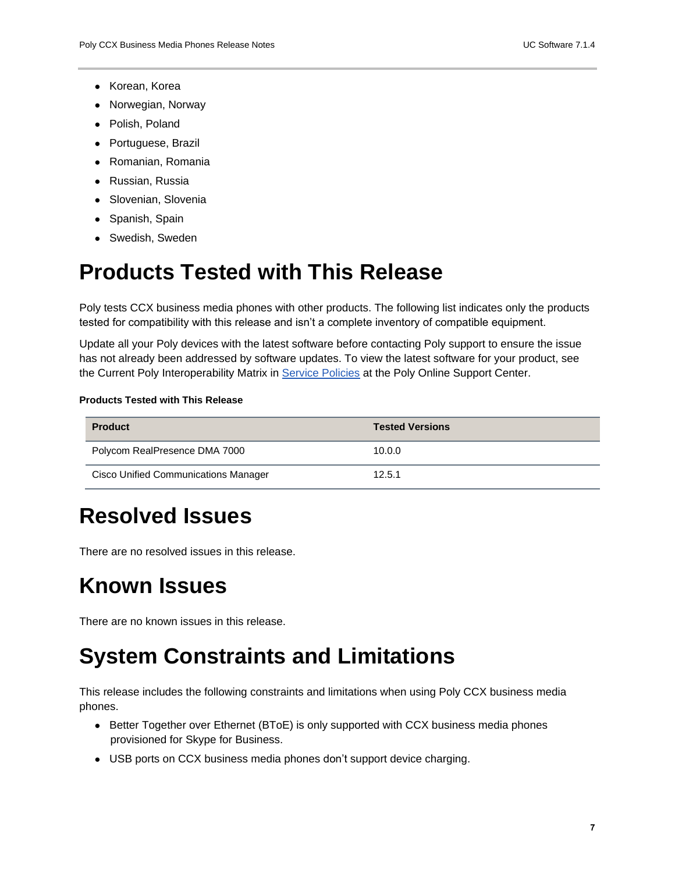- Korean, Korea
- Norwegian, Norway
- Polish, Poland
- Portuguese, Brazil
- Romanian, Romania
- Russian, Russia
- Slovenian, Slovenia
- Spanish, Spain
- Swedish, Sweden

# <span id="page-6-0"></span>**Products Tested with This Release**

Poly tests CCX business media phones with other products. The following list indicates only the products tested for compatibility with this release and isn't a complete inventory of compatible equipment.

Update all your Poly devices with the latest software before contacting Poly support to ensure the issue has not already been addressed by software updates. To view the latest software for your product, see the Current Poly Interoperability Matrix in [Service Policies](https://nam11.safelinks.protection.outlook.com/?url=http%3A%2F%2Fsupport.polycom.com%2FPolycomService%2Fsupport%2Fus%2Fsupport%2Fservice_policies.html&data=04%7C01%7Crebecca.zmarzly%40poly.com%7Cad3df741a647460199c408d9205a2ed8%7Cbc7c5f16c55e417daac0ff6bbfc27f76%7C1%7C0%7C637576393968397391%7CUnknown%7CTWFpbGZsb3d8eyJWIjoiMC4wLjAwMDAiLCJQIjoiV2luMzIiLCJBTiI6Ik1haWwiLCJXVCI6Mn0%3D%7C1000&sdata=GRJv1%2BbFacQhiKkIeCE50odSZaXgwriN4DQ8SLDLXQM%3D&reserved=0) at the Poly Online Support Center.

#### **Products Tested with This Release**

| <b>Product</b>                              | <b>Tested Versions</b> |
|---------------------------------------------|------------------------|
| Polycom RealPresence DMA 7000               | 10.0.0                 |
| <b>Cisco Unified Communications Manager</b> | 12.5.1                 |

## <span id="page-6-1"></span>**Resolved Issues**

There are no resolved issues in this release.

## <span id="page-6-2"></span>**Known Issues**

<span id="page-6-3"></span>There are no known issues in this release.

# **System Constraints and Limitations**

This release includes the following constraints and limitations when using Poly CCX business media phones.

- Better Together over Ethernet (BToE) is only supported with CCX business media phones provisioned for Skype for Business.
- USB ports on CCX business media phones don't support device charging.